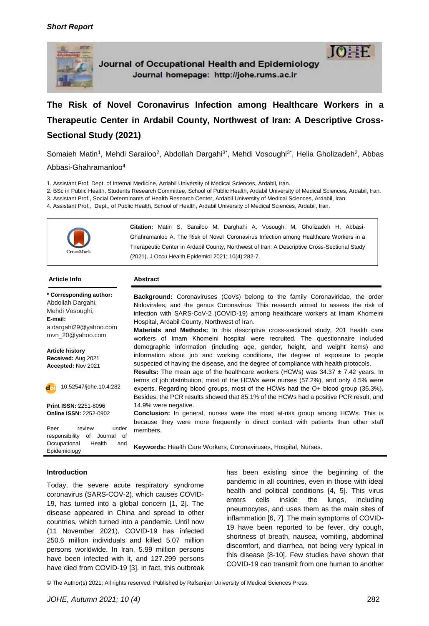

Journal of Occupational Health and Epidemiology Journal homepage: http://johe.rums.ac.ir



**The Risk of Novel Coronavirus Infection among Healthcare Workers in a Therapeutic Center in Ardabil County, Northwest of Iran: A Descriptive Cross-Sectional Study (2021)**

Somaieh Matin<sup>1</sup>, Mehdi Sarailoo<sup>2</sup>, [Abdollah Dargahi](https://scholar.google.com/citations?user=pHmfGlYAAAAJ&hl=en&oi=ao)<sup>3\*</sup>, Mehdi Vosoughi<sup>3\*</sup>, Helia Gholizadeh<sup>2</sup>, Abbas Abbasi-Ghahramanloo<sup>4</sup>

1. Assistant Prof, Dept. of Internal Medicine, Ardabil University of Medical Sciences, Ardabil, Iran.

2. BSc in Public Health, Students Research Committee, School of Public Health, Ardabil University of Medical Sciences, Ardabil, Iran.

3. Assistant Prof., Social Determinants of Health Research Center, Ardabil University of Medical Sciences, Ardabil, Iran.

4. Assistant Prof., Dept., of Public Health, School of Health, Ardabil University of Medical Sciences, Ardabil, Iran.



#### **Article Info Abstract**

**\* Corresponding author:** [Abdollah Dargahi,](https://scholar.google.com/citations?user=pHmfGlYAAAAJ&hl=en&oi=ao) Mehdi Vosoughi, **E-mail:** [a.dargahi29@yahoo.com](mailto:a.dargahi29@yahoo.com) mvn\_20@yahoo.com **Article history Received:** Aug 2021 **Accepted:** Nov 2021 10.52547/johe.10.4.282doi

**Print ISSN:** 2251-8096 **Online ISSN:** 2252-0902

Peer review under responsibility of Journal of Occupational Health and Epidemiology

**Background:** Coronaviruses (CoVs) belong to the family Coronaviridae, the order Nidovirales, and the genus Coronavirus. This research aimed to assess the risk of infection with SARS-CoV-2 (COVID-19) among healthcare workers at Imam Khomeini Hospital, Ardabil County, Northwest of Iran.

**Materials and Methods:** In this descriptive cross-sectional study, 201 health care workers of Imam Khomeini hospital were recruited. The questionnaire included demographic information (including age, gender, height, and weight items) and information about job and working conditions, the degree of exposure to people suspected of having the disease, and the degree of compliance with health protocols.

**Results:** The mean age of the healthcare workers (HCWs) was 34.37  $\pm$  7.42 years. In terms of job distribution, most of the HCWs were nurses (57.2%), and only 4.5% were experts. Regarding blood groups, most of the HCWs had the O+ blood group (35.3%). Besides, the PCR results showed that 85.1% of the HCWs had a positive PCR result, and 14.9% were negative.

**Conclusion:** In general, nurses were the most at-risk group among HCWs. This is because they were more frequently in direct contact with patients than other staff members.

**Keywords:** Health Care Workers, Coronaviruses, Hospital, Nurses.

#### **Introduction**

Today, the severe acute respiratory syndrome coronavirus (SARS-COV-2), which causes COVID-19, has turned into a global concern [1, 2]. The disease appeared in China and spread to other countries, which turned into a pandemic. Until now (11 November 2021), COVID-19 has infected 250.6 million individuals and killed 5.07 million persons worldwide. In Iran, 5.99 million persons have been infected with it, and 127.299 persons have died from COVID-19 [3]. In fact, this outbreak has been existing since the beginning of the pandemic in all countries, even in those with ideal health and political conditions [4, 5]. This virus enters cells inside the lungs, including pneumocytes, and uses them as the main sites of inflammation [6, 7]. The main symptoms of COVID-19 have been reported to be fever, dry cough, shortness of breath, nausea, vomiting, abdominal discomfort, and diarrhea, not being very typical in this disease [8-10]. Few studies have shown that COVID-19 can transmit from one human to another

© The Author(s) 2021; All rights reserved. Published by Rafsanjan University of Medical Sciences Press.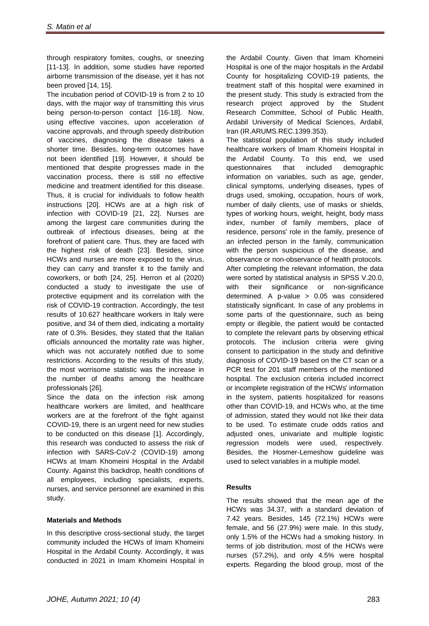through respiratory fomites, coughs, or sneezing [11-13]. In addition, some studies have reported airborne transmission of the disease, yet it has not been proved [14, 15].

The incubation period of COVID-19 is from 2 to 10 days, with the major way of transmitting this virus being person-to-person contact [16-18]. Now, using effective vaccines, upon acceleration of vaccine approvals, and through speedy distribution of vaccines, diagnosing the disease takes a shorter time. Besides, long-term outcomes have not been identified [19]. However, it should be mentioned that despite progresses made in the vaccination process, there is still no effective medicine and treatment identified for this disease. Thus, it is crucial for individuals to follow health instructions [20]. HCWs are at a high risk of infection with COVID-19 [21, 22]. Nurses are among the largest care communities during the outbreak of infectious diseases, being at the forefront of patient care. Thus, they are faced with the highest risk of death [23]. Besides, since HCWs and nurses are more exposed to the virus, they can carry and transfer it to the family and coworkers, or both [24, 25]. Herron et al (2020) conducted a study to investigate the use of protective equipment and its correlation with the risk of COVID-19 contraction. Accordingly, the test results of 10.627 healthcare workers in Italy were positive, and 34 of them died, indicating a mortality rate of 0.3%. Besides, they stated that the Italian officials announced the mortality rate was higher, which was not accurately notified due to some restrictions. According to the results of this study, the most worrisome statistic was the increase in the number of deaths among the healthcare professionals [26].

Since the data on the infection risk among healthcare workers are limited, and healthcare workers are at the forefront of the fight against COVID-19, there is an urgent need for new studies to be conducted on this disease [1]. Accordingly, this research was conducted to assess the risk of infection with SARS-CoV-2 (COVID-19) among HCWs at Imam Khomeini Hospital in the Ardabil County. Against this backdrop, health conditions of all employees, including specialists, experts, nurses, and service personnel are examined in this study.

# **Materials and Methods**

In this descriptive cross-sectional study, the target community included the HCWs of Imam Khomeini Hospital in the Ardabil County. Accordingly, it was conducted in 2021 in Imam Khomeini Hospital in

the Ardabil County. Given that Imam Khomeini Hospital is one of the major hospitals in the Ardabil County for hospitalizing COVID-19 patients, the treatment staff of this hospital were examined in the present study. This study is extracted from the research project approved by the Student Research Committee, School of Public Health, Ardabil University of Medical Sciences, Ardabil, Iran (IR.ARUMS.REC.1399.353).

The statistical population of this study included healthcare workers of Imam Khomeini Hospital in the Ardabil County. To this end, we used questionnaires that included demographic information on variables, such as age, gender, clinical symptoms, underlying diseases, types of drugs used, smoking, occupation, hours of work, number of daily clients, use of masks or shields, types of working hours, weight, height, body mass index, number of family members, place of residence, persons' role in the family, presence of an infected person in the family, communication with the person suspicious of the disease, and observance or non-observance of health protocols. After completing the relevant information, the data were sorted by statistical analysis in SPSS V.20.0, with their significance or non-significance determined. A p-value > 0.05 was considered statistically significant. In case of any problems in some parts of the questionnaire, such as being empty or illegible, the patient would be contacted to complete the relevant parts by observing ethical protocols. The inclusion criteria were giving consent to participation in the study and definitive diagnosis of COVID-19 based on the CT scan or a PCR test for 201 staff members of the mentioned hospital. The exclusion criteria included incorrect or incomplete registration of the HCWs' information in the system, patients hospitalized for reasons other than COVID-19, and HCWs who, at the time of admission, stated they would not like their data to be used. To estimate crude odds ratios and adjusted ones, univariate and multiple logistic regression models were used, respectively. Besides, the Hosmer-Lemeshow guideline was used to select variables in a multiple model.

## **Results**

The results showed that the mean age of the HCWs was 34.37, with a standard deviation of 7.42 years. Besides, 145 (72.1%) HCWs were female, and 56 (27.9%) were male. In this study, only 1.5% of the HCWs had a smoking history. In terms of job distribution, most of the HCWs were nurses (57.2%), and only 4.5% were hospital experts. Regarding the blood group, most of the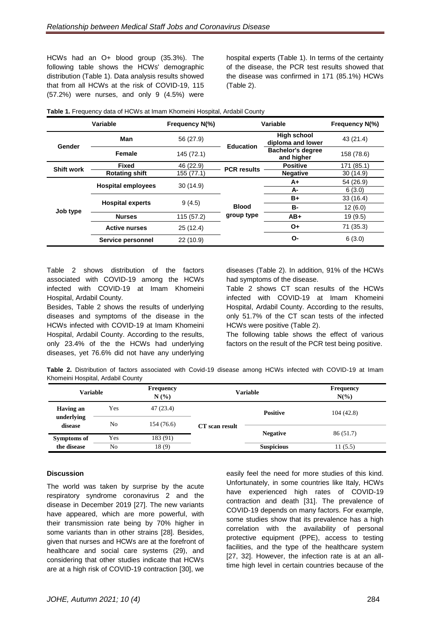HCWs had an O+ blood group (35.3%). The following table shows the HCWs' demographic distribution (Table 1). Data analysis results showed that from all HCWs at the risk of COVID-19, 115  $(57.2%)$  were nurses, and only 9  $(4.5%)$  were hospital experts (Table 1). In terms of the certainty of the disease, the PCR test results showed that the disease was confirmed in 171 (85.1%) HCWs (Table 2).

| <b>Variable</b>   |                           | Frequency N(%) | Variable                   |                                         | Frequency N(%) |
|-------------------|---------------------------|----------------|----------------------------|-----------------------------------------|----------------|
| Gender            | Man                       | 56 (27.9)      | <b>Education</b>           | <b>High school</b><br>diploma and lower | 43 (21.4)      |
|                   | <b>Female</b>             | 145 (72.1)     |                            | <b>Bachelor's degree</b><br>and higher  | 158 (78.6)     |
| <b>Shift work</b> | <b>Fixed</b>              | 46 (22.9)      | <b>PCR</b> results         | <b>Positive</b>                         | 171 (85.1)     |
|                   | <b>Rotating shift</b>     | 155 (77.1)     |                            | <b>Negative</b>                         | 30(14.9)       |
| Job type          | <b>Hospital employees</b> | 30 (14.9)      | <b>Blood</b><br>group type | A+                                      | 54 (26.9)      |
|                   |                           |                |                            | A-                                      | 6(3.0)         |
|                   | <b>Hospital experts</b>   | 9(4.5)         |                            | B+                                      | 33(16.4)       |
|                   |                           |                |                            | В-                                      | 12(6.0)        |
|                   | <b>Nurses</b>             | 115 (57.2)     |                            | $AB+$                                   | 19(9.5)        |
|                   | <b>Active nurses</b>      | 25(12.4)       |                            | 0+                                      | 71 (35.3)      |
|                   | Service personnel         | 22 (10.9)      |                            | O-                                      | 6(3.0)         |

**Table 1.** Frequency data of HCWs at Imam Khomeini Hospital, Ardabil County

Table 2 shows distribution of the factors associated with COVID-19 among the HCWs infected with COVID-19 at Imam Khomeini Hospital, Ardabil County.

Besides, Table 2 shows the results of underlying diseases and symptoms of the disease in the HCWs infected with COVID-19 at Imam Khomeini Hospital, Ardabil County. According to the results, only 23.4% of the the HCWs had underlying diseases, yet 76.6% did not have any underlying diseases (Table 2). In addition, 91% of the HCWs had symptoms of the disease.

Table 2 shows CT scan results of the HCWs infected with COVID-19 at Imam Khomeini Hospital, Ardabil County. According to the results, only 51.7% of the CT scan tests of the infected HCWs were positive (Table 2).

The following table shows the effect of various factors on the result of the PCR test being positive.

**Table 2.** Distribution of factors associated with Covid-19 disease among HCWs infected with COVID-19 at Imam Khomeini Hospital, Ardabil County

| <b>Variable</b>       |     | Frequency<br>N(%) | Variable       |                   | <b>Frequency</b><br>$N(\%)$ |
|-----------------------|-----|-------------------|----------------|-------------------|-----------------------------|
| <b>Having an</b>      | Yes | 47(23.4)          |                | <b>Positive</b>   | 104(42.8)                   |
| underlying<br>disease | No  | 154 (76.6)        | CT scan result |                   |                             |
| <b>Symptoms of</b>    | Yes | 183 (91)          |                | <b>Negative</b>   | 86 (51.7)                   |
| the disease           | No  | 18(9)             |                | <b>Suspicious</b> | 11(5.5)                     |

## **Discussion**

The world was taken by surprise by the acute respiratory syndrome coronavirus 2 and the disease in December 2019 [27]. The new variants have appeared, which are more powerful, with their transmission rate being by 70% higher in some variants than in other strains [28]. Besides, given that nurses and HCWs are at the forefront of healthcare and social care systems (29), and considering that other studies indicate that HCWs are at a high risk of COVID-19 contraction [30], we

easily feel the need for more studies of this kind. Unfortunately, in some countries like Italy, HCWs have experienced high rates of COVID-19 contraction and death [31]. The prevalence of COVID-19 depends on many factors. For example, some studies show that its prevalence has a high correlation with the availability of personal protective equipment (PPE), access to testing facilities, and the type of the healthcare system [27, 32]. However, the infection rate is at an alltime high level in certain countries because of the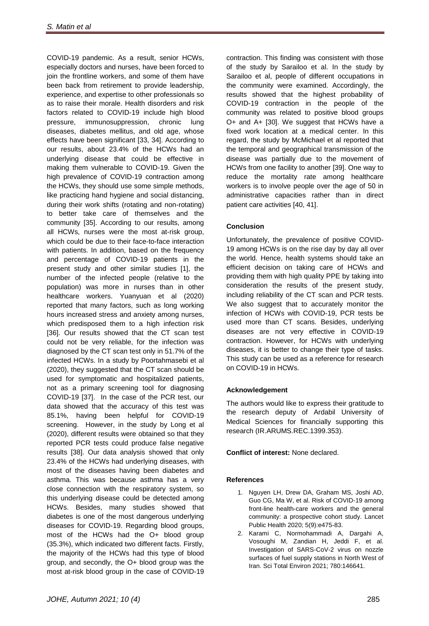COVID-19 pandemic. As a result, senior HCWs, especially doctors and nurses, have been forced to join the frontline workers, and some of them have been back from retirement to provide leadership, experience, and expertise to other professionals so as to raise their morale. Health disorders and risk factors related to COVID-19 include high blood pressure, immunosuppression, chronic lung diseases, diabetes mellitus, and old age, whose effects have been significant [33, 34]. According to our results, about 23.4% of the HCWs had an underlying disease that could be effective in making them vulnerable to COVID-19. Given the high prevalence of COVID-19 contraction among the HCWs, they should use some simple methods, like practicing hand hygiene and social distancing, during their work shifts (rotating and non-rotating) to better take care of themselves and the community [35]. According to our results, among all HCWs, nurses were the most at-risk group, which could be due to their face-to-face interaction with patients. In addition, based on the frequency and percentage of COVID-19 patients in the present study and other similar studies [1], the number of the infected people (relative to the population) was more in nurses than in other healthcare workers. Yuanyuan et al (2020) reported that many factors, such as long working hours increased stress and anxiety among nurses, which predisposed them to a high infection risk [36]. Our results showed that the CT scan test could not be very reliable, for the infection was diagnosed by the CT scan test only in 51.7% of the infected HCWs. In a study by Poortahmasebi et al (2020), they suggested that the CT scan should be used for symptomatic and hospitalized patients, not as a primary screening tool for diagnosing COVID-19 [37]. In the case of the PCR test, our data showed that the accuracy of this test was 85.1%, having been helpful for COVID-19 screening. However, in the study by Long et al (2020), different results were obtained so that they reported PCR tests could produce false negative results [38]. Our data analysis showed that only 23.4% of the HCWs had underlying diseases, with most of the diseases having been diabetes and asthma. This was because asthma has a very close connection with the respiratory system, so this underlying disease could be detected among HCWs. Besides, many studies showed that diabetes is one of the most dangerous underlying diseases for COVID-19. Regarding blood groups, most of the HCWs had the O+ blood group (35.3%), which indicated two different facts. Firstly, the majority of the HCWs had this type of blood group, and secondly, the O+ blood group was the most at-risk blood group in the case of COVID-19

contraction. This finding was consistent with those of the study by Sarailoo et al. In the study by Sarailoo et al, people of different occupations in the community were examined. Accordingly, the results showed that the highest probability of COVID-19 contraction in the people of the community was related to positive blood groups O+ and A+ [30]. We suggest that HCWs have a fixed work location at a medical center. In this regard, the study by McMichael et al reported that the temporal and geographical transmission of the disease was partially due to the movement of HCWs from one facility to another [39]. One way to reduce the mortality rate among healthcare workers is to involve people over the age of 50 in administrative capacities rather than in direct patient care activities [40, 41].

# **Conclusion**

Unfortunately, the prevalence of positive COVID-19 among HCWs is on the rise day by day all over the world. Hence, health systems should take an efficient decision on taking care of HCWs and providing them with high quality PPE by taking into consideration the results of the present study, including reliability of the CT scan and PCR tests. We also suggest that to accurately monitor the infection of HCWs with COVID-19, PCR tests be used more than CT scans. Besides, underlying diseases are not very effective in COVID-19 contraction. However, for HCWs with underlying diseases, it is better to change their type of tasks. This study can be used as a reference for research on COVID-19 in HCWs.

## **Acknowledgement**

The authors would like to express their gratitude to the research deputy of Ardabil University of Medical Sciences for financially supporting this research (IR.ARUMS.REC.1399.353).

**Conflict of interest:** None declared.

## **References**

- 1. Nguyen LH, Drew DA, Graham MS, Joshi AD, Guo CG, Ma W, et al. Risk of COVID-19 among front-line health-care workers and the general community: a prospective cohort study. Lancet Public Health 2020; 5(9):e475-83.
- 2. Karami C, Normohammadi A, Dargahi A, Vosoughi M, Zandian H, Jeddi F, et al. Investigation of SARS-CoV-2 virus on nozzle surfaces of fuel supply stations in North West of Iran. Sci Total Environ 2021; 780:146641.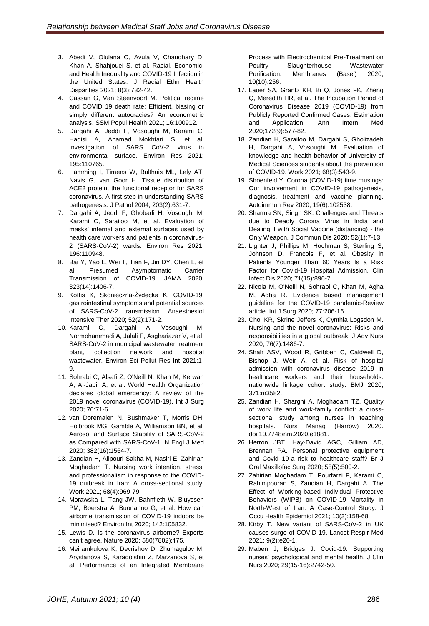- 3. Abedi V, Olulana O, Avula V, Chaudhary D, Khan A, Shahjouei S, et al. Racial, Economic, and Health Inequality and COVID-19 Infection in the United States. J Racial Ethn Health Disparities 2021; 8(3):732-42.
- 4. Cassan G, Van Steenvoort M. Political regime and COVID 19 death rate: Efficient, biasing or simply different autocracies? An econometric analysis. SSM Popul Health 2021; 16:100912.
- 5. Dargahi A, Jeddi F, Vosoughi M, Karami C, Hadisi A, Ahamad Mokhtari S, et al. Investigation of SARS CoV-2 virus in environmental surface. Environ Res 2021; 195:110765.
- 6. Hamming I, Timens W, Bulthuis ML, Lely AT, Navis G, van Goor H. Tissue distribution of ACE2 protein, the functional receptor for SARS coronavirus. A first step in understanding SARS pathogenesis. J Pathol 2004; 203(2):631-7.
- 7. Dargahi A, Jeddi F, Ghobadi H, Vosoughi M, Karami C, Sarailoo M, et al. Evaluation of masks' internal and external surfaces used by health care workers and patients in coronavirus-2 (SARS-CoV-2) wards. Environ Res 2021; 196:110948.
- 8. Bai Y, Yao L, Wei T, Tian F, Jin DY, Chen L, et al. Presumed Asymptomatic Carrier Transmission of COVID-19. JAMA 2020; 323(14):1406-7.
- 9. Kotfis K, Skonieczna-Żydecka K. COVID-19: gastrointestinal symptoms and potential sources of SARS-CoV-2 transmission. Anaesthesiol Intensive Ther 2020; 52(2):171-2.
- 10. Karami C, Dargahi A, Vosoughi M, Normohammadi A, Jalali F, Asghariazar V, et al. SARS-CoV-2 in municipal wastewater treatment plant, collection network and hospital wastewater. Environ Sci Pollut Res Int 2021:1- 9.
- 11. Sohrabi C, Alsafi Z, O'Neill N, Khan M, Kerwan A, Al-Jabir A, et al. World Health Organization declares global emergency: A review of the 2019 novel coronavirus (COVID-19). Int J Surg 2020; 76:71-6.
- 12. van Doremalen N, Bushmaker T, Morris DH, Holbrook MG, Gamble A, Williamson BN, et al. Aerosol and Surface Stability of SARS-CoV-2 as Compared with SARS-CoV-1. N Engl J Med 2020; 382(16):1564-7.
- 13. Zandian H, Alipouri Sakha M, Nasiri E, Zahirian Moghadam T. Nursing work intention, stress, and professionalism in response to the COVID-19 outbreak in Iran: A cross-sectional study. Work 2021; 68(4):969-79.
- 14. Morawska L, Tang JW, Bahnfleth W, Bluyssen PM, Boerstra A, Buonanno G, et al. How can airborne transmission of COVID-19 indoors be minimised? Environ Int 2020; 142:105832.
- 15. Lewis D. Is the coronavirus airborne? Experts can't agree. Nature 2020; 580(7802):175.
- 16. Meiramkulova K, Devrishov D, Zhumagulov M, Arystanova S, Karagoishin Z, Marzanova S, et al. Performance of an Integrated Membrane

Process with Electrochemical Pre-Treatment on Poultry Slaughterhouse Wastewater Purification. Membranes (Basel) 2020; 10(10):256.

- 17. Lauer SA, Grantz KH, Bi Q, Jones FK, Zheng Q, Meredith HR, et al. The Incubation Period of Coronavirus Disease 2019 (COVID-19) from Publicly Reported Confirmed Cases: Estimation and Application. Ann Intern Med 2020;172(9):577-82.
- 18. Zandian H, Sarailoo M, Dargahi S, Gholizadeh H, Dargahi A, Vosoughi M. Evaluation of knowledge and health behavior of University of Medical Sciences students about the prevention of COVID-19. Work 2021; 68(3):543-9.
- 19. Shoenfeld Y. Corona (COVID-19) time musings: Our involvement in COVID-19 pathogenesis, diagnosis, treatment and vaccine planning. Autoimmun Rev 2020; 19(6):102538.
- 20. Sharma SN, Singh SK. Challenges and Threats due to Deadly Corona Virus in India and Dealing it with Social Vaccine (distancing) - the Only Weapon. J Commun Dis 2020; 52(1):7-13.
- 21. Lighter J, Phillips M, Hochman S, Sterling S, Johnson D, Francois F, et al. Obesity in Patients Younger Than 60 Years Is a Risk Factor for Covid-19 Hospital Admission. Clin Infect Dis 2020; 71(15):896-7.
- 22. Nicola M, O'Neill N, Sohrabi C, Khan M, Agha M, Agha R. Evidence based management guideline for the COVID-19 pandemic-Review article. Int J Surg 2020; 77:206-16.
- 23. Choi KR, Skrine Jeffers K, Cynthia Logsdon M. Nursing and the novel coronavirus: Risks and responsibilities in a global outbreak. J Adv Nurs 2020; 76(7):1486-7.
- 24. Shah ASV, Wood R, Gribben C, Caldwell D, Bishop J, Weir A, et al. Risk of hospital admission with coronavirus disease 2019 in healthcare workers and their households: nationwide linkage cohort study. BMJ 2020; 371:m3582.
- 25. Zandian H, Sharghi A, Moghadam TZ. Quality of work life and work-family conflict: a crosssectional study among nurses in teaching hospitals. Nurs Manag (Harrow) 2020. doi:10.7748/nm.2020.e1881.
- 26. Herron JBT, Hay-David AGC, Gilliam AD, Brennan PA. Personal protective equipment and Covid 19-a risk to healthcare staff? Br J Oral Maxillofac Surg 2020; 58(5):500-2.
- 27. Zahirian Moghadam T, Pourfarzi F, Karami C, Rahimpouran S, Zandian H, Dargahi A. The Effect of Working-based Individual Protective Behaviors (WIPB) on COVID-19 Mortality in North-West of Iran: A Case-Control Study. J Occu Health Epidemiol 2021; 10(3):158-68
- 28. Kirby T. New variant of SARS-CoV-2 in UK causes surge of COVID-19. Lancet Respir Med 2021; 9(2):e20-1.
- 29. Maben J, Bridges J. Covid-19: Supporting nurses' psychological and mental health. J Clin Nurs 2020; 29(15-16):2742-50.